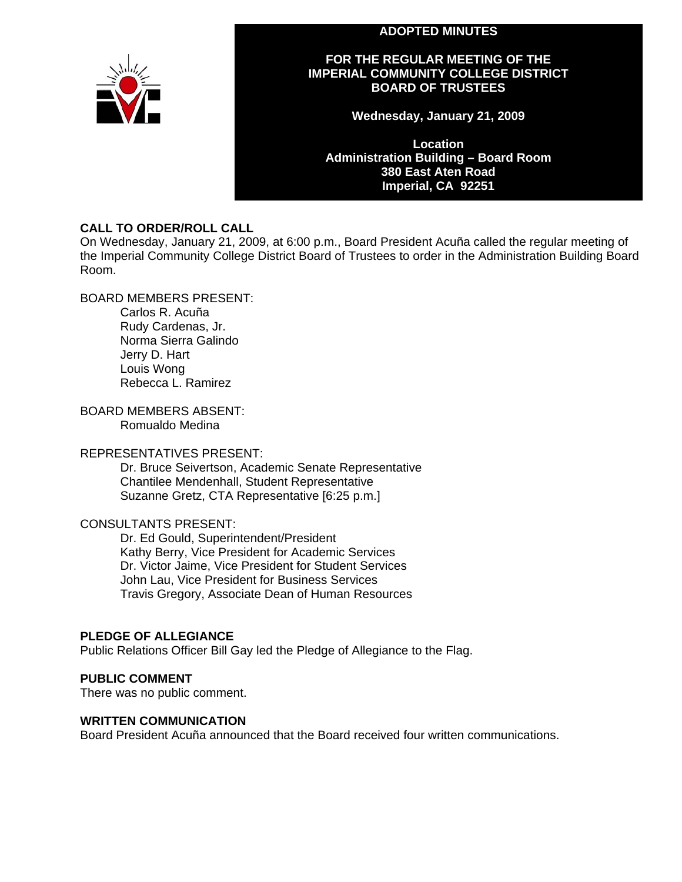#### **ADOPTED MINUTES**



#### **FOR THE REGULAR MEETING OF THE IMPERIAL COMMUNITY COLLEGE DISTRICT BOARD OF TRUSTEES**

**Wednesday, January 21, 2009** 

**Location Administration Building – Board Room 380 East Aten Road Imperial, CA 92251** 

#### **CALL TO ORDER/ROLL CALL**

On Wednesday, January 21, 2009, at 6:00 p.m., Board President Acuña called the regular meeting of the Imperial Community College District Board of Trustees to order in the Administration Building Board Room.

BOARD MEMBERS PRESENT:

Carlos R. Acuña Rudy Cardenas, Jr. Norma Sierra Galindo Jerry D. Hart Louis Wong Rebecca L. Ramirez

BOARD MEMBERS ABSENT: Romualdo Medina

#### REPRESENTATIVES PRESENT:

Dr. Bruce Seivertson, Academic Senate Representative Chantilee Mendenhall, Student Representative Suzanne Gretz, CTA Representative [6:25 p.m.]

#### CONSULTANTS PRESENT:

Dr. Ed Gould, Superintendent/President Kathy Berry, Vice President for Academic Services Dr. Victor Jaime, Vice President for Student Services John Lau, Vice President for Business Services Travis Gregory, Associate Dean of Human Resources

#### **PLEDGE OF ALLEGIANCE**

Public Relations Officer Bill Gay led the Pledge of Allegiance to the Flag.

#### **PUBLIC COMMENT**

There was no public comment.

#### **WRITTEN COMMUNICATION**

Board President Acuña announced that the Board received four written communications.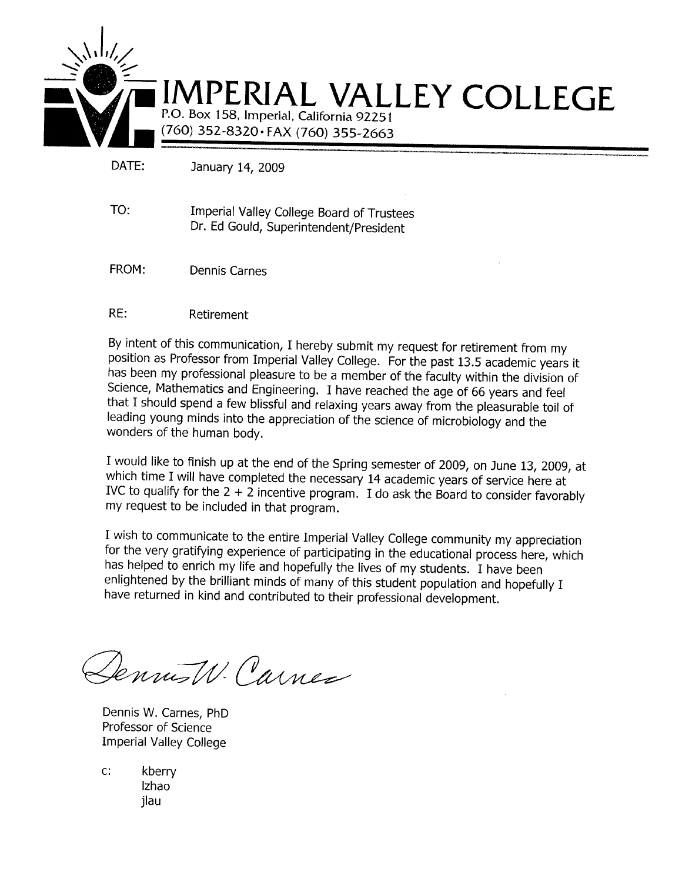

DATE: January 14, 2009

- TO: Imperial Valley College Board of Trustees Dr. Ed Gould, Superintendent/President
- FROM: **Dennis Carnes**

#### $RE:$ Retirement

By intent of this communication, I hereby submit my request for retirement from my position as Professor from Imperial Valley College. For the past 13.5 academic years it has been my professional pleasure to be a member of the faculty within the division of Science, Mathematics and Engineering. I have reached the age of 66 years and feel that I should spend a few blissful and relaxing years away from the pleasurable toil of leading young minds into the appreciation of the science of microbiology and the wonders of the human body.

I would like to finish up at the end of the Spring semester of 2009, on June 13, 2009, at which time I will have completed the necessary 14 academic years of service here at IVC to qualify for the  $2 + 2$  incentive program. I do ask the Board to consider favorably my request to be included in that program.

I wish to communicate to the entire Imperial Valley College community my appreciation for the very gratifying experience of participating in the educational process here, which has helped to enrich my life and hopefully the lives of my students. I have been enlightened by the brilliant minds of many of this student population and hopefully I have returned in kind and contributed to their professional development.

Lennis W. Carnes

Dennis W. Carnes, PhD Professor of Science **Imperial Valley College** 

 $\mathsf{C}^*$ kberry Izhao jlau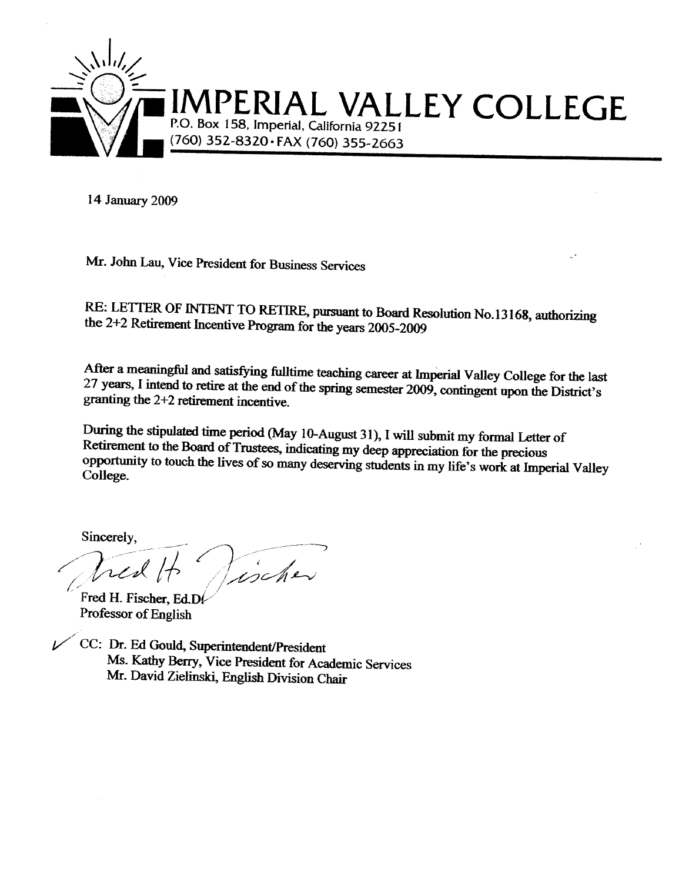

14 January 2009

Mr. John Lau, Vice President for Business Services

RE: LETTER OF INTENT TO RETIRE, pursuant to Board Resolution No.13168, authorizing the 2+2 Retirement Incentive Program for the years 2005-2009

After a meaningful and satisfying fulltime teaching career at Imperial Valley College for the last 27 years, I intend to retire at the end of the spring semester 2009, contingent upon the District's granting the 2+2 retirement incentive.

During the stipulated time period (May 10-August 31), I will submit my formal Letter of Retirement to the Board of Trustees, indicating my deep appreciation for the precious opportunity to touch the lives of so many deserving students in my life's work at Imperial Valley College.

Sincerely,

tischer

Fred H. Fischer, Ed.D. Professor of English

CC: Dr. Ed Gould, Superintendent/President Ms. Kathy Berry, Vice President for Academic Services Mr. David Zielinski, English Division Chair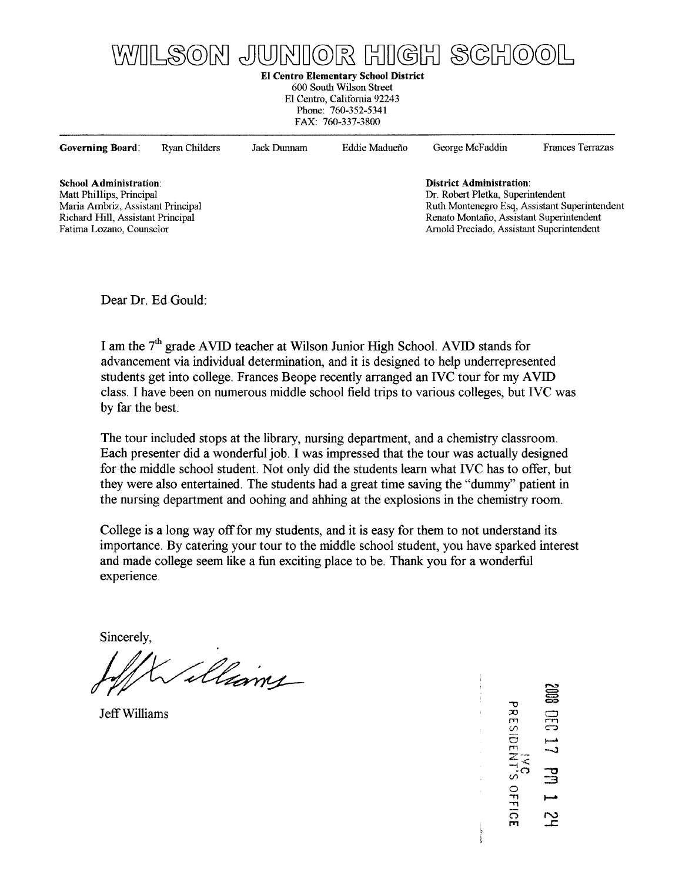## WILSON JUNIOR HIGH SCHOOL

**El Centro Elementary School District** 

600 South Wilson Street El Centro, California 92243 Phone: 760-352-5341 FAX: 760-337-3800

| Governing Board.                  | Ryan Childers | Jack Dunnam | Eddie Madueño | George McFaddin                           | <b>Frances Terrazas</b>                       |
|-----------------------------------|---------------|-------------|---------------|-------------------------------------------|-----------------------------------------------|
| School Administration:            |               |             |               | <b>District Administration:</b>           |                                               |
| Matt Phillips, Principal          |               |             |               | Dr. Robert Pletka, Superintendent         |                                               |
| Maria Ambriz, Assistant Principal |               |             |               |                                           | Ruth Montenegro Esq, Assistant Superintendent |
| Richard Hill, Assistant Principal |               |             |               | Renato Montaño, Assistant Superintendent  |                                               |
| Fatima Lozano, Counselor          |               |             |               | Arnold Preciado, Assistant Superintendent |                                               |
|                                   |               |             |               |                                           |                                               |
|                                   |               |             |               |                                           |                                               |
|                                   |               |             |               |                                           |                                               |

Dear Dr. Ed Gould:

I am the 7<sup>th</sup> grade AVID teacher at Wilson Junior High School. AVID stands for advancement via individual determination, and it is designed to help underrepresented students get into college. Frances Beope recently arranged an IVC tour for my AVID class. I have been on numerous middle school field trips to various colleges, but IVC was by far the best.

The tour included stops at the library, nursing department, and a chemistry classroom. Each presenter did a wonderful job. I was impressed that the tour was actually designed for the middle school student. Not only did the students learn what IVC has to offer, but they were also entertained. The students had a great time saving the "dummy" patient in the nursing department and oohing and ahhing at the explosions in the chemistry room.

College is a long way off for my students, and it is easy for them to not understand its importance. By catering your tour to the middle school student, you have sparked interest and made college seem like a fun exciting place to be. Thank you for a wonderful experience

Sincerely,

illiams

Jeff Williams

PRESIDENT'S OFFICE  $\Xi$ يم<br>عد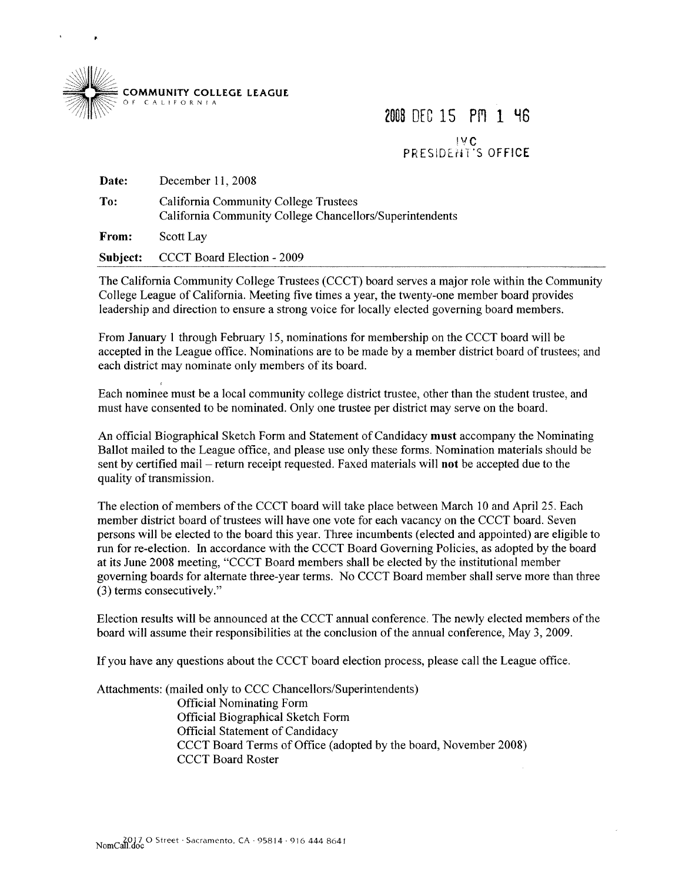

2008 DEC 15 PM 1 46 IVC<br>PRESIDENT'S OFFICE

| <b>Date:</b> | December 11, 2008                                                                                 |
|--------------|---------------------------------------------------------------------------------------------------|
| To:          | California Community College Trustees<br>California Community College Chancellors/Superintendents |
| From:        | Scott Lay                                                                                         |
| Subject:     | CCCT Board Election - 2009                                                                        |

The California Community College Trustees (CCCT) board serves a major role within the Community College League of California. Meeting five times a year, the twenty-one member board provides leadership and direction to ensure a strong voice for locally elected governing board members.

From January 1 through February 15, nominations for membership on the CCCT board will be accepted in the League office. Nominations are to be made by a member district board of trustees; and each district may nominate only members of its board.

Each nominee must be a local community college district trustee, other than the student trustee, and must have consented to be nominated. Only one trustee per district may serve on the board.

An official Biographical Sketch Form and Statement of Candidacy must accompany the Nominating Ballot mailed to the League office, and please use only these forms. Nomination materials should be sent by certified mail – return receipt requested. Faxed materials will not be accepted due to the quality of transmission.

The election of members of the CCCT board will take place between March 10 and April 25. Each member district board of trustees will have one vote for each vacancy on the CCCT board. Seven persons will be elected to the board this year. Three incumbents (elected and appointed) are eligible to run for re-election. In accordance with the CCCT Board Governing Policies, as adopted by the board at its June 2008 meeting, "CCCT Board members shall be elected by the institutional member governing boards for alternate three-year terms. No CCCT Board member shall serve more than three (3) terms consecutively."

Election results will be announced at the CCCT annual conference. The newly elected members of the board will assume their responsibilities at the conclusion of the annual conference, May 3, 2009.

If you have any questions about the CCCT board election process, please call the League office.

Attachments: (mailed only to CCC Chancellors/Superintendents) **Official Nominating Form Official Biographical Sketch Form Official Statement of Candidacy** CCCT Board Terms of Office (adopted by the board, November 2008) **CCCT Board Roster**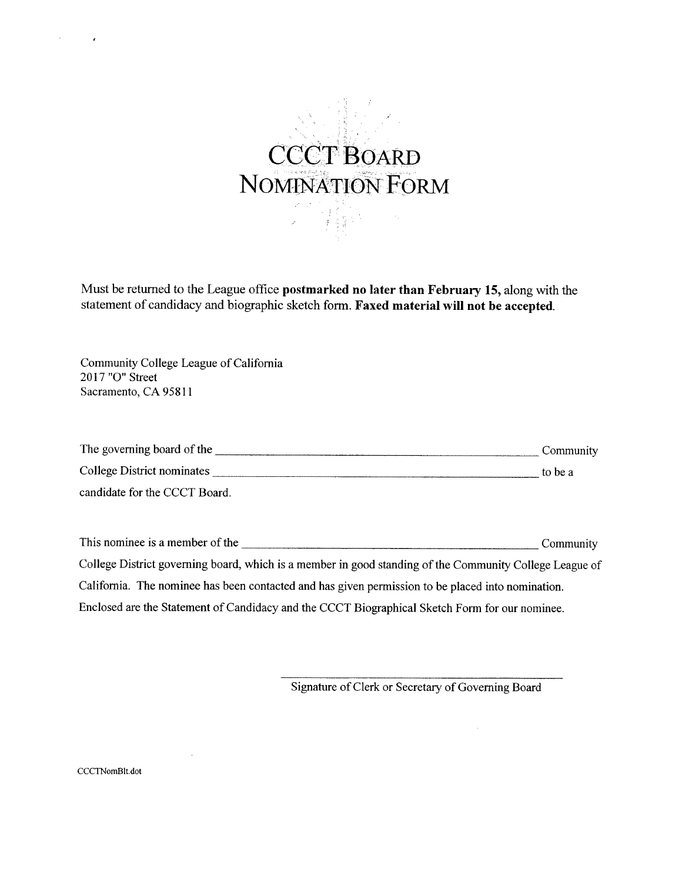

Must be returned to the League office postmarked no later than February 15, along with the statement of candidacy and biographic sketch form. Faxed material will not be accepted.

Community College League of California 2017 "O" Street Sacramento, CA 95811

 $\sim$ 

 $\lambda$ 

| The governing board of the    | Community |
|-------------------------------|-----------|
| College District nominates    | to be a   |
| candidate for the CCCT Board. |           |

College District governing board, which is a member in good standing of the Community College League of California. The nominee has been contacted and has given permission to be placed into nomination. Enclosed are the Statement of Candidacy and the CCCT Biographical Sketch Form for our nominee.

Signature of Clerk or Secretary of Governing Board

t,

CCCTNomBlt.dot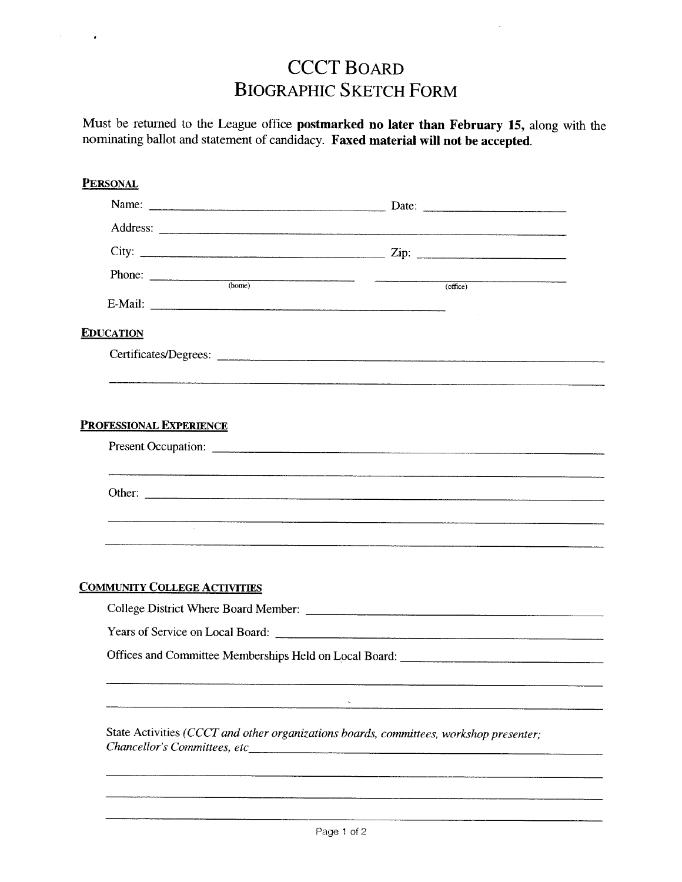### **CCCT BOARD BIOGRAPHIC SKETCH FORM**

 $\hat{\epsilon}$ 

 $\cdot$ 

Must be returned to the League office postmarked no later than February 15, along with the nominating ballot and statement of candidacy. Faxed material will not be accepted.

| <b>PERSONAL</b>                     |                                  |                                                                                        |
|-------------------------------------|----------------------------------|----------------------------------------------------------------------------------------|
|                                     |                                  |                                                                                        |
|                                     |                                  |                                                                                        |
|                                     |                                  |                                                                                        |
|                                     | Phone: $\frac{1}{(\text{home})}$ |                                                                                        |
|                                     |                                  | (office)                                                                               |
| <b>EDUCATION</b>                    |                                  |                                                                                        |
|                                     |                                  |                                                                                        |
|                                     |                                  |                                                                                        |
|                                     |                                  |                                                                                        |
| <b>PROFESSIONAL EXPERIENCE</b>      |                                  |                                                                                        |
|                                     |                                  |                                                                                        |
|                                     |                                  |                                                                                        |
|                                     |                                  |                                                                                        |
|                                     |                                  |                                                                                        |
|                                     |                                  |                                                                                        |
|                                     |                                  |                                                                                        |
| <b>COMMUNITY COLLEGE ACTIVITIES</b> |                                  |                                                                                        |
|                                     |                                  |                                                                                        |
|                                     |                                  |                                                                                        |
|                                     |                                  |                                                                                        |
|                                     |                                  |                                                                                        |
|                                     |                                  |                                                                                        |
|                                     |                                  |                                                                                        |
|                                     |                                  | State Activities (CCCT and other organizations boards, committees, workshop presenter; |
| Chancellor's Committees, etc        |                                  |                                                                                        |
|                                     |                                  |                                                                                        |
|                                     |                                  |                                                                                        |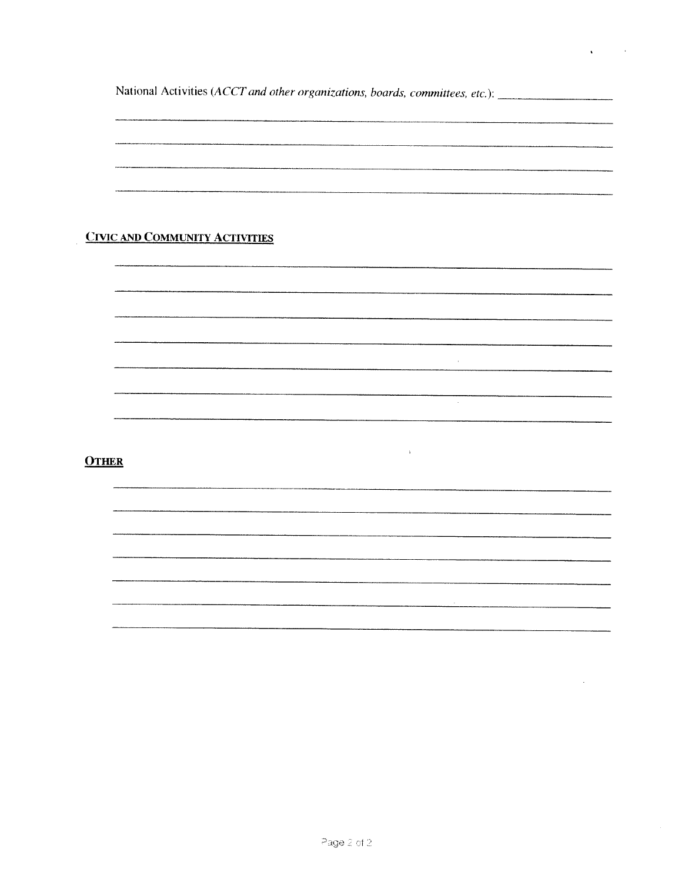National Activities (ACCT and other organizations, boards, committees, etc.): \_\_\_\_\_\_\_\_\_\_\_\_\_\_\_\_\_\_\_\_\_

 $\hat{\mathbf{r}}$ 

 $\hat{\mathbf{v}}$ 

 $\bar{\mathcal{A}}$ 

 $\sim 100$ 

 $\mathcal{L}(\mathcal{L})$  and  $\mathcal{L}(\mathcal{L})$  .

#### **CIVIC AND COMMUNITY ACTIVITIES**

#### **OTHER**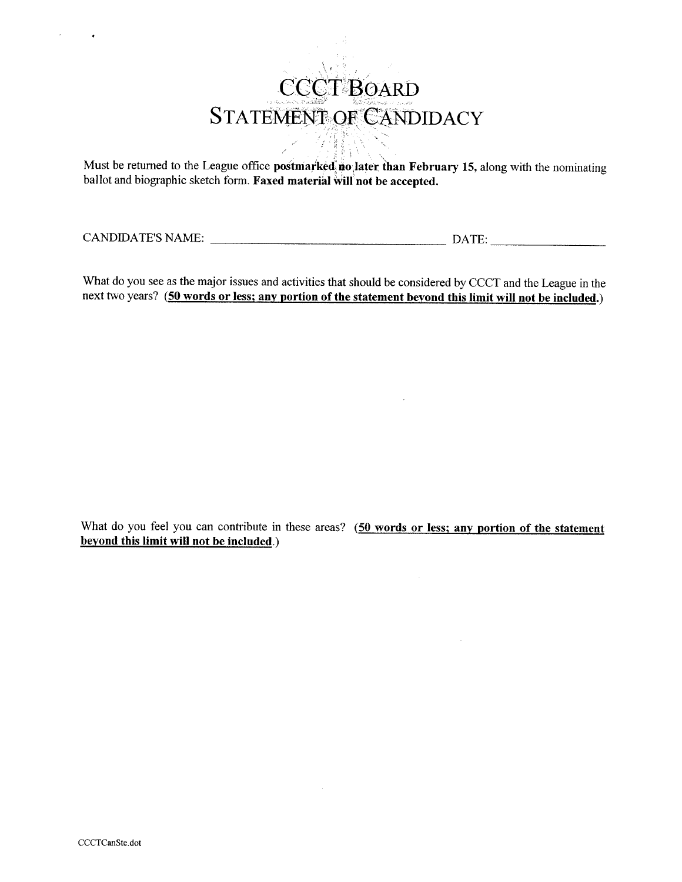# CCCT BOARD STATEMENT OF CANDIDACY **作業**

Must be returned to the League office postmarked no later than February 15, along with the nominating ballot and biographic sketch form. Faxed material will not be accepted.

What do you see as the major issues and activities that should be considered by CCCT and the League in the next two years? (50 words or less; any portion of the statement beyond this limit will not be included.)

What do you feel you can contribute in these areas? (50 words or less; any portion of the statement beyond this limit will not be included.)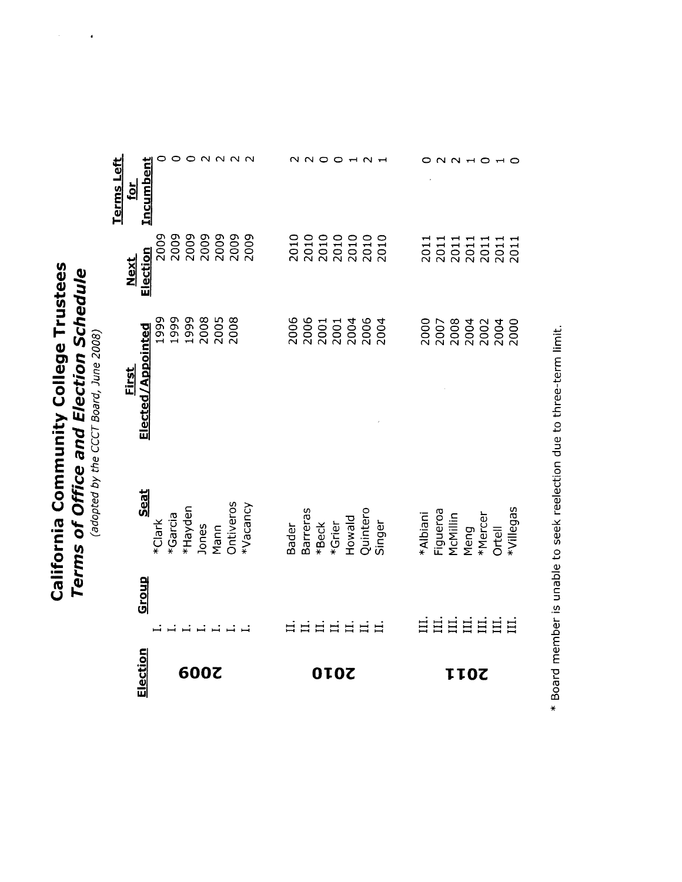California Community College Trustees **Terms of Office and Election Schedule**<br>(adopted by the CCCT Board, June 2008)

 $\hat{\boldsymbol{\beta}}$ 

 $\ddot{\phantom{a}}$ 

|                                    | :lection                          |                                     | 600Z |  |                                                                    |                                                                        |              | IOZ |  |                                          |                                                                         |                                              | <b>TOZ</b> |             |       |
|------------------------------------|-----------------------------------|-------------------------------------|------|--|--------------------------------------------------------------------|------------------------------------------------------------------------|--------------|-----|--|------------------------------------------|-------------------------------------------------------------------------|----------------------------------------------|------------|-------------|-------|
|                                    | <b>Group</b>                      |                                     |      |  |                                                                    |                                                                        | <b>EEEEE</b> |     |  |                                          | ËË                                                                      |                                              |            | <b>EEEE</b> | $\Xi$ |
|                                    | Seat                              |                                     |      |  | *Clark<br>*Garcia<br>*Hayden<br>Jones<br>Mann<br>Mann<br>Ontiveros | Bader<br>Barreras<br>*Beck<br>*Grier<br>Quintero<br>Quintero<br>Singer |              |     |  |                                          | *Albiani<br>Figueroa<br>McMillin<br>Meng<br>Milegas<br>Ortell<br>Ortell |                                              |            |             |       |
|                                    | <u>First</u><br>Elected/Appointed | 999<br>1998<br>1998<br>2006<br>2008 |      |  |                                                                    |                                                                        |              |     |  | 2006<br>2006 1<br>2006 2006<br>2006 2007 |                                                                         |                                              |            |             |       |
|                                    | Next<br>Election                  |                                     |      |  |                                                                    |                                                                        |              |     |  | 2010<br>2010<br>2010<br>2010<br>2010     |                                                                         | 2011<br>2011<br>2011<br>2011<br>2011<br>2011 |            |             |       |
| <b>Lerms Left</b><br>$\frac{1}{2}$ | Incumbent                         |                                     |      |  |                                                                    |                                                                        |              |     |  |                                          |                                                                         |                                              |            |             |       |

\* Board member is unable to seek reelection due to three-term limit.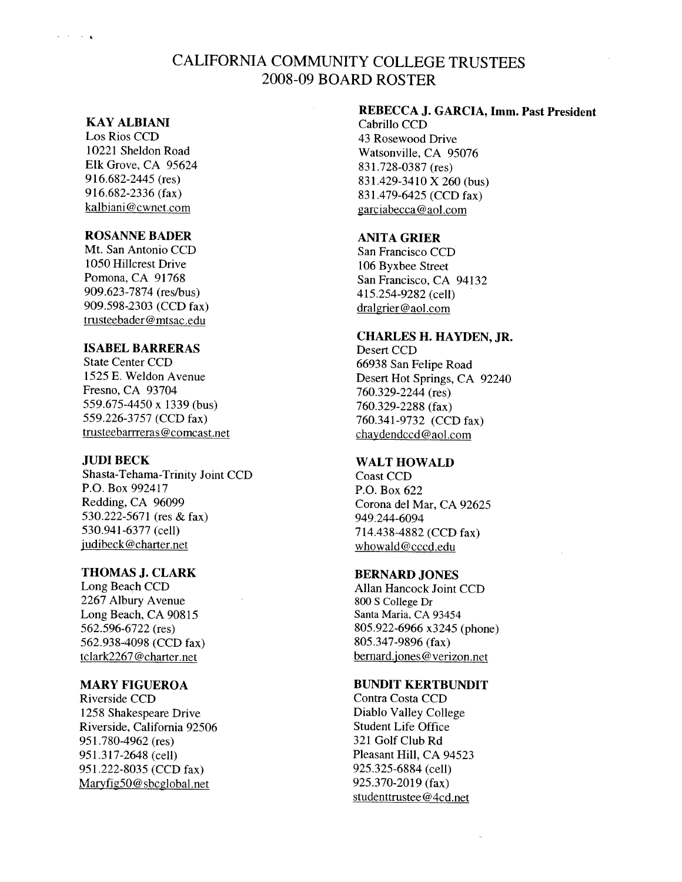#### CALIFORNIA COMMUNITY COLLEGE TRUSTEES 2008-09 BOARD ROSTER

#### **KAY ALBIANI**

**Contractor** 

Los Rios CCD 10221 Sheldon Road Elk Grove, CA 95624 916.682-2445 (res) 916.682-2336 (fax) kalbiani@cwnet.com

#### **ROSANNE BADER**

Mt. San Antonio CCD 1050 Hillcrest Drive Pomona, CA 91768 909.623-7874 (res/bus) 909.598-2303 (CCD fax) trusteebader@mtsac.edu

#### **ISABEL BARRERAS**

**State Center CCD** 1525 E. Weldon Avenue Fresno, CA 93704 559.675-4450 x 1339 (bus) 559.226-3757 (CCD fax) trusteebarrreras@comcast.net

#### **JUDI BECK**

Shasta-Tehama-Trinity Joint CCD P.O. Box 992417 Redding, CA 96099 530.222-5671 (res & fax) 530.941-6377 (cell) judibeck@charter.net

#### **THOMAS J. CLARK**

Long Beach CCD 2267 Albury Avenue Long Beach, CA 90815 562.596-6722 (res) 562.938-4098 (CCD fax) tclark2267@charter.net

#### **MARY FIGUEROA**

Riverside CCD 1258 Shakespeare Drive Riverside, California 92506 951.780-4962 (res) 951.317-2648 (cell) 951.222-8035 (CCD fax) Maryfig50@sbcglobal.net

#### REBECCA J. GARCIA, Imm. Past President

Cabrillo CCD 43 Rosewood Drive Watsonville, CA 95076 831.728-0387 (res) 831.429-3410 X 260 (bus) 831.479-6425 (CCD fax) garciabecca@aol.com

#### **ANITA GRIER**

San Francisco CCD 106 Byxbee Street San Francisco, CA 94132 415.254-9282 (cell) dralgrier@aol.com

#### **CHARLES H. HAYDEN, JR.**

Desert CCD 66938 San Felipe Road Desert Hot Springs, CA 92240 760.329-2244 (res) 760.329-2288 (fax) 760.341-9732 (CCD fax) chaydendccd@aol.com

#### **WALT HOWALD**

Coast CCD P.O. Box 622 Corona del Mar, CA 92625 949.244-6094 714.438-4882 (CCD fax) whowald@cccd.edu

#### **BERNARD JONES**

Allan Hancock Joint CCD 800 S College Dr Santa Maria, CA 93454 805.922-6966 x3245 (phone) 805.347-9896 (fax) bernard.jones@verizon.net

#### **BUNDIT KERTBUNDIT**

Contra Costa CCD Diablo Valley College **Student Life Office** 321 Golf Club Rd Pleasant Hill, CA 94523 925.325-6884 (cell) 925.370-2019 (fax) studenttrustee@4cd.net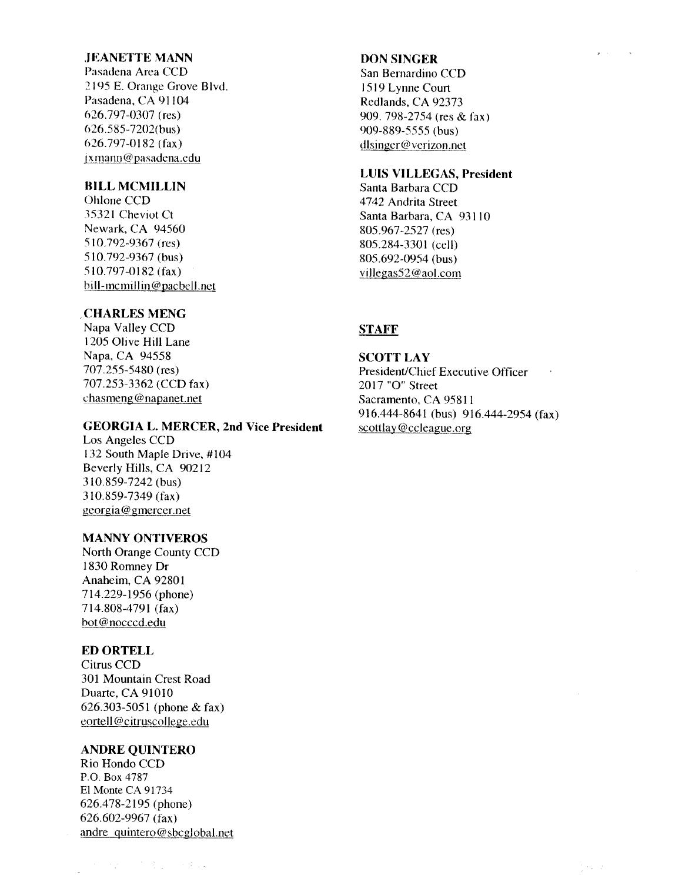#### **JEANETTE MANN**

Pasadena Area CCD 2195 E. Orange Grove Blvd. Pasadena, CA 91104 626.797-0307 (res) 626.585-7202(bus) 626.797-0182 (fax) jxmann@pasadena.edu

#### **BILL MCMILLIN**

Ohlone CCD 35321 Cheviot Ct Newark, CA 94560 510.792-9367 (res) 510.792-9367 (bus) 510.797-0182 (fax) bill-memillin@pacbell.net

#### **CHARLES MENG**

Napa Valley CCD 1205 Olive Hill Lane Napa, CA 94558 707.255-5480 (res) 707.253-3362 (CCD fax) chasmeng@napanet.net

#### **GEORGIA L. MERCER, 2nd Vice President**

Los Angeles CCD 132 South Maple Drive, #104 Beverly Hills, CA 90212 310.859-7242 (bus) 310.859-7349 (fax) georgia@gmercer.net

#### **MANNY ONTIVEROS**

North Orange County CCD 1830 Romney Dr Anaheim, CA 92801 714.229-1956 (phone) 714.808-4791 (fax) bot@nocccd.edu

#### **ED ORTELL**

Citrus CCD 301 Mountain Crest Road Duarte, CA 91010 626.303-5051 (phone & fax) eortell@citruscollege.edu

#### **ANDRE OUINTERO**

Rio Hondo CCD P.O. Box 4787 El Monte CA 91734 626.478-2195 (phone)  $626.602 - 9967$  (fax) andre\_quintero@sbcglobal.net

#### **DON SINGER**

San Bernardino CCD 1519 Lynne Court Redlands, CA 92373 909. 798-2754 (res & fax) 909-889-5555 (bus) dlsinger@verizon.net

#### **LUIS VILLEGAS, President**

Santa Barbara CCD 4742 Andrita Street Santa Barbara, CA 93110 805.967-2527 (res) 805.284-3301 (cell) 805.692-0954 (bus) villegas52@aol.com

#### **STAFF**

**SCOTT LAY** President/Chief Executive Officer 2017 "O" Street Sacramento, CA 95811 916.444-8641 (bus) 916.444-2954 (fax) scottlay@ccleague.org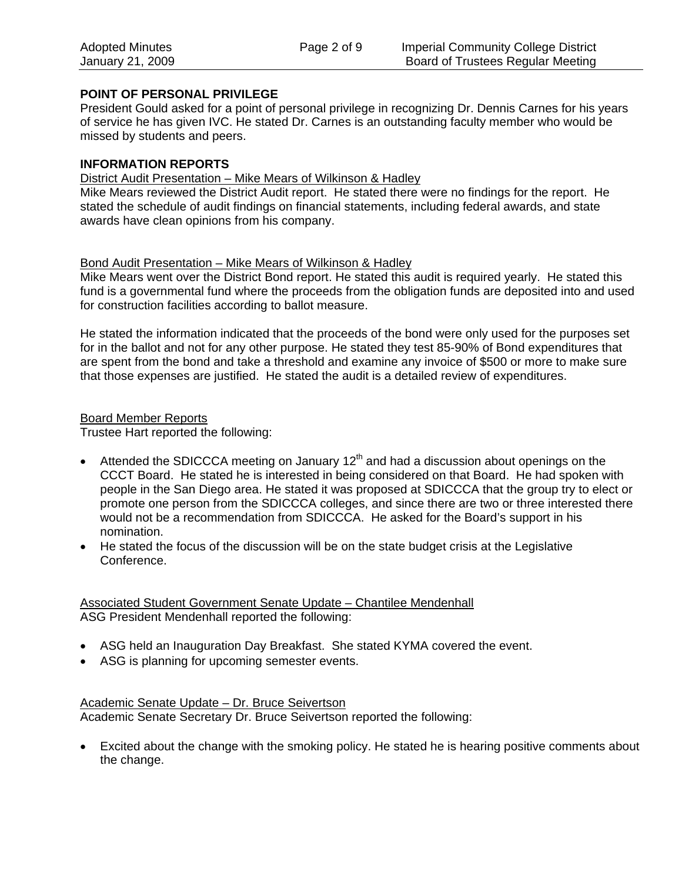#### **POINT OF PERSONAL PRIVILEGE**

President Gould asked for a point of personal privilege in recognizing Dr. Dennis Carnes for his years of service he has given IVC. He stated Dr. Carnes is an outstanding faculty member who would be missed by students and peers.

#### **INFORMATION REPORTS**

#### District Audit Presentation – Mike Mears of Wilkinson & Hadley

Mike Mears reviewed the District Audit report. He stated there were no findings for the report. He stated the schedule of audit findings on financial statements, including federal awards, and state awards have clean opinions from his company.

#### Bond Audit Presentation – Mike Mears of Wilkinson & Hadley

Mike Mears went over the District Bond report. He stated this audit is required yearly. He stated this fund is a governmental fund where the proceeds from the obligation funds are deposited into and used for construction facilities according to ballot measure.

He stated the information indicated that the proceeds of the bond were only used for the purposes set for in the ballot and not for any other purpose. He stated they test 85-90% of Bond expenditures that are spent from the bond and take a threshold and examine any invoice of \$500 or more to make sure that those expenses are justified. He stated the audit is a detailed review of expenditures.

#### Board Member Reports

Trustee Hart reported the following:

- Attended the SDICCCA meeting on January 12<sup>th</sup> and had a discussion about openings on the CCCT Board. He stated he is interested in being considered on that Board. He had spoken with people in the San Diego area. He stated it was proposed at SDICCCA that the group try to elect or promote one person from the SDICCCA colleges, and since there are two or three interested there would not be a recommendation from SDICCCA. He asked for the Board's support in his nomination.
- He stated the focus of the discussion will be on the state budget crisis at the Legislative Conference.

Associated Student Government Senate Update – Chantilee Mendenhall ASG President Mendenhall reported the following:

- ASG held an Inauguration Day Breakfast. She stated KYMA covered the event.
- ASG is planning for upcoming semester events.

Academic Senate Update – Dr. Bruce Seivertson Academic Senate Secretary Dr. Bruce Seivertson reported the following:

• Excited about the change with the smoking policy. He stated he is hearing positive comments about the change.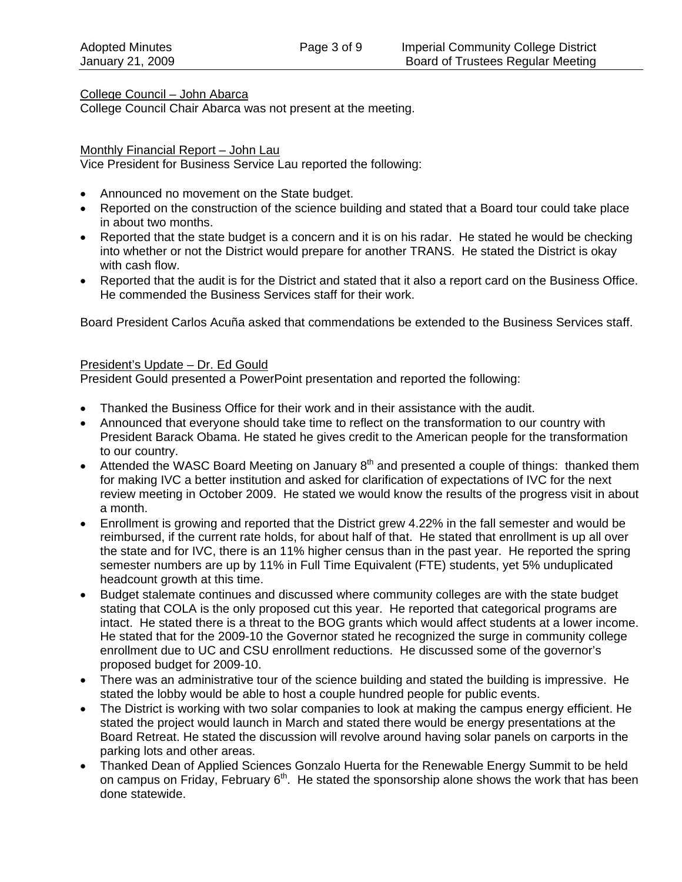College Council – John Abarca

College Council Chair Abarca was not present at the meeting.

#### Monthly Financial Report – John Lau

Vice President for Business Service Lau reported the following:

- Announced no movement on the State budget.
- Reported on the construction of the science building and stated that a Board tour could take place in about two months.
- Reported that the state budget is a concern and it is on his radar. He stated he would be checking into whether or not the District would prepare for another TRANS. He stated the District is okay with cash flow.
- Reported that the audit is for the District and stated that it also a report card on the Business Office. He commended the Business Services staff for their work.

Board President Carlos Acuña asked that commendations be extended to the Business Services staff.

#### President's Update – Dr. Ed Gould

President Gould presented a PowerPoint presentation and reported the following:

- Thanked the Business Office for their work and in their assistance with the audit.
- Announced that everyone should take time to reflect on the transformation to our country with President Barack Obama. He stated he gives credit to the American people for the transformation to our country.
- Attended the WASC Board Meeting on January  $8<sup>th</sup>$  and presented a couple of things: thanked them for making IVC a better institution and asked for clarification of expectations of IVC for the next review meeting in October 2009. He stated we would know the results of the progress visit in about a month.
- Enrollment is growing and reported that the District grew 4.22% in the fall semester and would be reimbursed, if the current rate holds, for about half of that. He stated that enrollment is up all over the state and for IVC, there is an 11% higher census than in the past year. He reported the spring semester numbers are up by 11% in Full Time Equivalent (FTE) students, yet 5% unduplicated headcount growth at this time.
- Budget stalemate continues and discussed where community colleges are with the state budget stating that COLA is the only proposed cut this year. He reported that categorical programs are intact. He stated there is a threat to the BOG grants which would affect students at a lower income. He stated that for the 2009-10 the Governor stated he recognized the surge in community college enrollment due to UC and CSU enrollment reductions. He discussed some of the governor's proposed budget for 2009-10.
- There was an administrative tour of the science building and stated the building is impressive. He stated the lobby would be able to host a couple hundred people for public events.
- The District is working with two solar companies to look at making the campus energy efficient. He stated the project would launch in March and stated there would be energy presentations at the Board Retreat. He stated the discussion will revolve around having solar panels on carports in the parking lots and other areas.
- Thanked Dean of Applied Sciences Gonzalo Huerta for the Renewable Energy Summit to be held on campus on Friday, February  $6<sup>th</sup>$ . He stated the sponsorship alone shows the work that has been done statewide.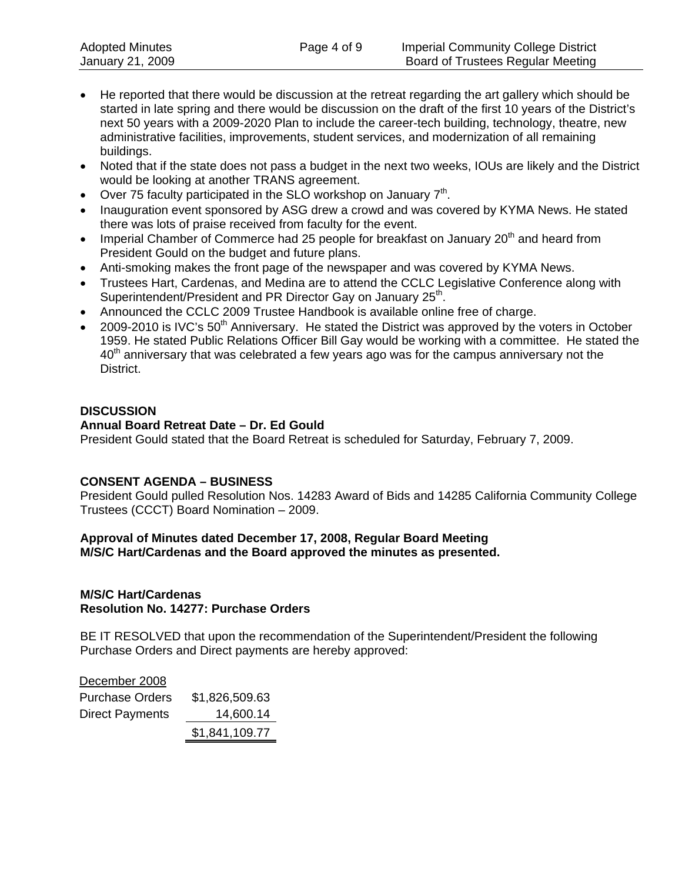- He reported that there would be discussion at the retreat regarding the art gallery which should be started in late spring and there would be discussion on the draft of the first 10 years of the District's next 50 years with a 2009-2020 Plan to include the career-tech building, technology, theatre, new administrative facilities, improvements, student services, and modernization of all remaining buildings.
- Noted that if the state does not pass a budget in the next two weeks, IOUs are likely and the District would be looking at another TRANS agreement.
- Over 75 faculty participated in the SLO workshop on January  $7<sup>th</sup>$ .
- Inauguration event sponsored by ASG drew a crowd and was covered by KYMA News. He stated there was lots of praise received from faculty for the event.
- Imperial Chamber of Commerce had 25 people for breakfast on January  $20<sup>th</sup>$  and heard from President Gould on the budget and future plans.
- Anti-smoking makes the front page of the newspaper and was covered by KYMA News.
- Trustees Hart, Cardenas, and Medina are to attend the CCLC Legislative Conference along with Superintendent/President and PR Director Gay on January 25<sup>th</sup>.
- Announced the CCLC 2009 Trustee Handbook is available online free of charge.
- 2009-2010 is IVC's 50th Anniversary. He stated the District was approved by the voters in October 1959. He stated Public Relations Officer Bill Gay would be working with a committee. He stated the 40<sup>th</sup> anniversary that was celebrated a few years ago was for the campus anniversary not the District.

#### **DISCUSSION**

#### **Annual Board Retreat Date – Dr. Ed Gould**

President Gould stated that the Board Retreat is scheduled for Saturday, February 7, 2009.

#### **CONSENT AGENDA – BUSINESS**

President Gould pulled Resolution Nos. 14283 Award of Bids and 14285 California Community College Trustees (CCCT) Board Nomination – 2009.

#### **Approval of Minutes dated December 17, 2008, Regular Board Meeting M/S/C Hart/Cardenas and the Board approved the minutes as presented.**

#### **M/S/C Hart/Cardenas Resolution No. 14277: Purchase Orders**

BE IT RESOLVED that upon the recommendation of the Superintendent/President the following Purchase Orders and Direct payments are hereby approved:

| December 2008          |                |
|------------------------|----------------|
| <b>Purchase Orders</b> | \$1,826,509.63 |
| <b>Direct Payments</b> | 14,600.14      |
|                        | \$1,841,109.77 |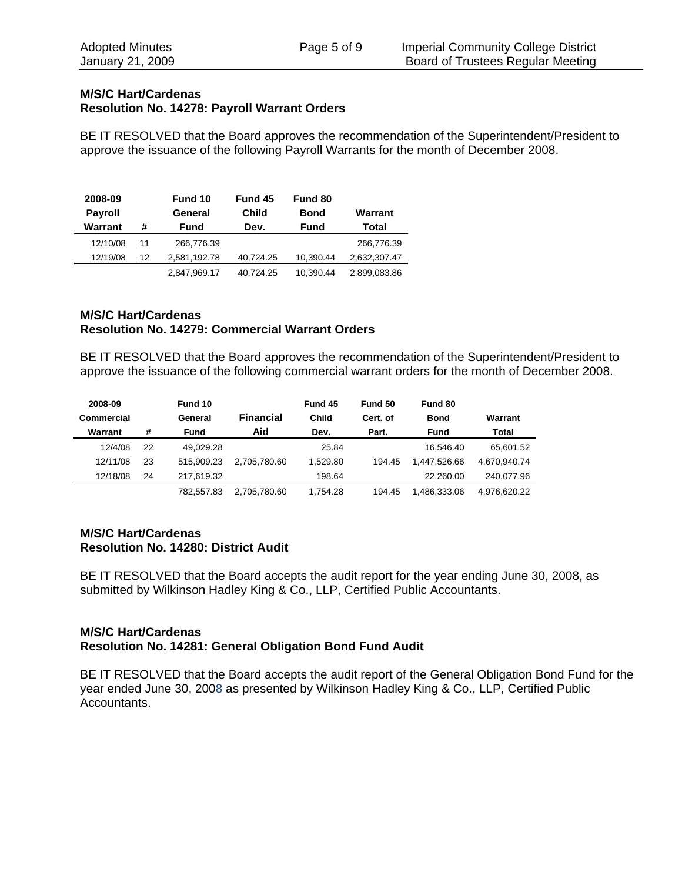#### **M/S/C Hart/Cardenas Resolution No. 14278: Payroll Warrant Orders**

BE IT RESOLVED that the Board approves the recommendation of the Superintendent/President to approve the issuance of the following Payroll Warrants for the month of December 2008.

| 2008-09<br><b>Payroll</b> |    | Fund 10<br>General | Fund 45<br>Child | Fund 80<br><b>Bond</b> | Warrant      |
|---------------------------|----|--------------------|------------------|------------------------|--------------|
| Warrant                   | #  | Fund               | Dev.             | <b>Fund</b>            | Total        |
| 12/10/08                  | 11 | 266.776.39         |                  |                        | 266,776.39   |
| 12/19/08                  | 12 | 2,581,192.78       | 40.724.25        | 10,390.44              | 2,632,307.47 |
|                           |    | 2.847.969.17       | 40.724.25        | 10.390.44              | 2,899,083.86 |

#### **M/S/C Hart/Cardenas Resolution No. 14279: Commercial Warrant Orders**

BE IT RESOLVED that the Board approves the recommendation of the Superintendent/President to approve the issuance of the following commercial warrant orders for the month of December 2008.

| 2008-09    |    | Fund 10    |                  | Fund 45  | Fund 50  | Fund 80      |              |
|------------|----|------------|------------------|----------|----------|--------------|--------------|
| Commercial |    | General    | <b>Financial</b> | Child    | Cert. of | <b>Bond</b>  | Warrant      |
| Warrant    | #  | Fund       | Aid              | Dev.     | Part.    | Fund         | Total        |
| 12/4/08    | 22 | 49.029.28  |                  | 25.84    |          | 16.546.40    | 65.601.52    |
| 12/11/08   | 23 | 515.909.23 | 2.705.780.60     | 1.529.80 | 194.45   | 1.447.526.66 | 4.670.940.74 |
| 12/18/08   | 24 | 217.619.32 |                  | 198.64   |          | 22.260.00    | 240,077.96   |
|            |    | 782.557.83 | 2.705.780.60     | 1.754.28 | 194.45   | 1.486.333.06 | 4.976.620.22 |

#### **M/S/C Hart/Cardenas Resolution No. 14280: District Audit**

BE IT RESOLVED that the Board accepts the audit report for the year ending June 30, 2008, as submitted by Wilkinson Hadley King & Co., LLP, Certified Public Accountants.

#### **M/S/C Hart/Cardenas Resolution No. 14281: General Obligation Bond Fund Audit**

BE IT RESOLVED that the Board accepts the audit report of the General Obligation Bond Fund for the year ended June 30, 2008 as presented by Wilkinson Hadley King & Co., LLP, Certified Public Accountants.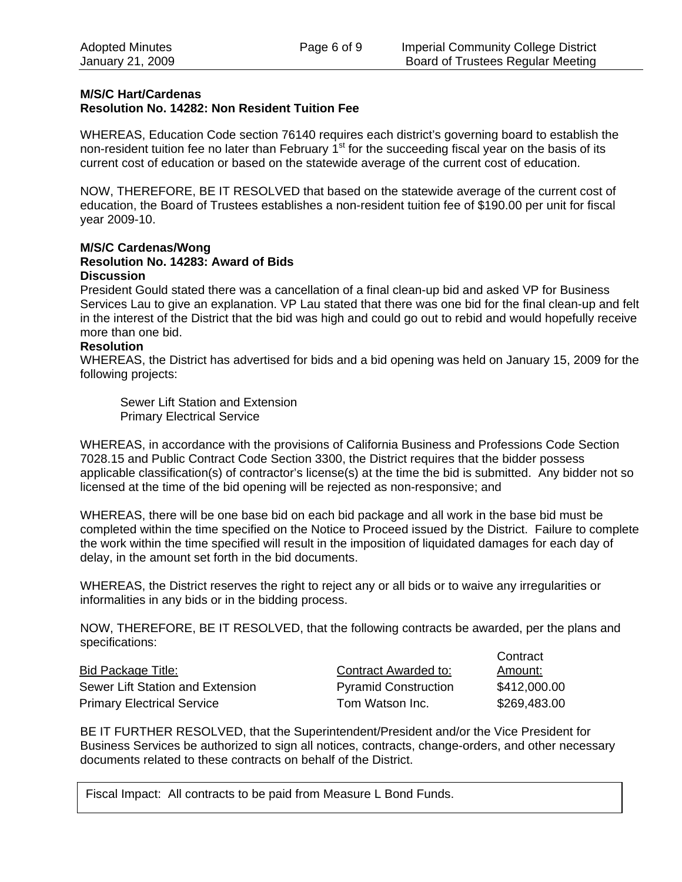#### **M/S/C Hart/Cardenas**

#### **Resolution No. 14282: Non Resident Tuition Fee**

WHEREAS, Education Code section 76140 requires each district's governing board to establish the non-resident tuition fee no later than February  $1<sup>st</sup>$  for the succeeding fiscal year on the basis of its current cost of education or based on the statewide average of the current cost of education.

NOW, THEREFORE, BE IT RESOLVED that based on the statewide average of the current cost of education, the Board of Trustees establishes a non-resident tuition fee of \$190.00 per unit for fiscal year 2009-10.

#### **M/S/C Cardenas/Wong Resolution No. 14283: Award of Bids Discussion**

President Gould stated there was a cancellation of a final clean-up bid and asked VP for Business Services Lau to give an explanation. VP Lau stated that there was one bid for the final clean-up and felt in the interest of the District that the bid was high and could go out to rebid and would hopefully receive more than one bid.

#### **Resolution**

WHEREAS, the District has advertised for bids and a bid opening was held on January 15, 2009 for the following projects:

Sewer Lift Station and Extension Primary Electrical Service

WHEREAS, in accordance with the provisions of California Business and Professions Code Section 7028.15 and Public Contract Code Section 3300, the District requires that the bidder possess applicable classification(s) of contractor's license(s) at the time the bid is submitted. Any bidder not so licensed at the time of the bid opening will be rejected as non-responsive; and

WHEREAS, there will be one base bid on each bid package and all work in the base bid must be completed within the time specified on the Notice to Proceed issued by the District. Failure to complete the work within the time specified will result in the imposition of liquidated damages for each day of delay, in the amount set forth in the bid documents.

WHEREAS, the District reserves the right to reject any or all bids or to waive any irregularities or informalities in any bids or in the bidding process.

NOW, THEREFORE, BE IT RESOLVED, that the following contracts be awarded, per the plans and specifications: Contract

|                                   |                             | <b>CUITTIQUE</b> |
|-----------------------------------|-----------------------------|------------------|
| Bid Package Title:                | Contract Awarded to:        | Amount:          |
| Sewer Lift Station and Extension  | <b>Pyramid Construction</b> | \$412,000.00     |
| <b>Primary Electrical Service</b> | Tom Watson Inc.             | \$269,483.00     |

BE IT FURTHER RESOLVED, that the Superintendent/President and/or the Vice President for Business Services be authorized to sign all notices, contracts, change-orders, and other necessary documents related to these contracts on behalf of the District.

Fiscal Impact: All contracts to be paid from Measure L Bond Funds.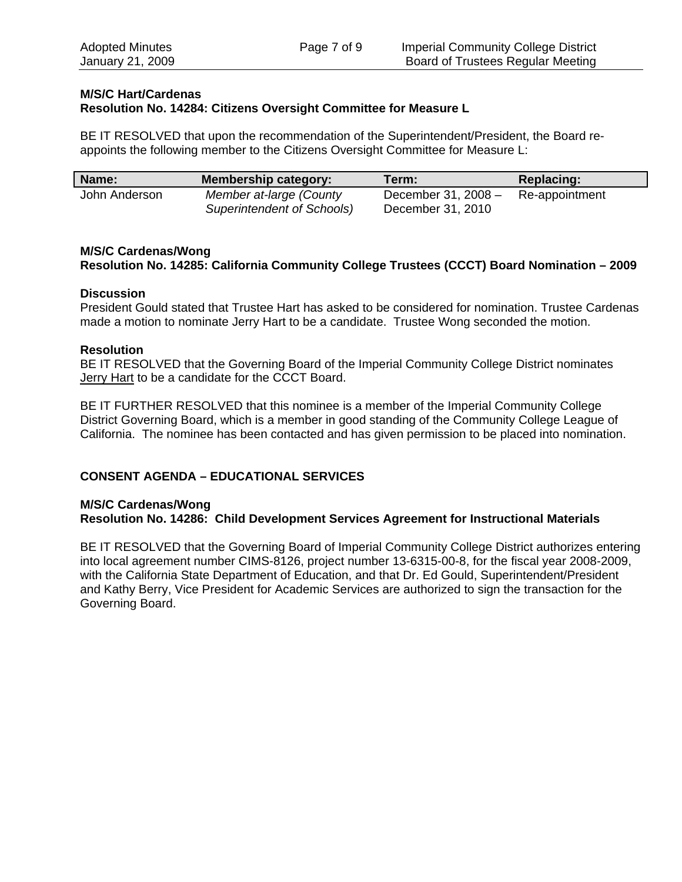#### **M/S/C Hart/Cardenas Resolution No. 14284: Citizens Oversight Committee for Measure L**

BE IT RESOLVED that upon the recommendation of the Superintendent/President, the Board reappoints the following member to the Citizens Oversight Committee for Measure L:

| Name:         | <b>Membership category:</b>                           | Term:                                    | Replacing:     |
|---------------|-------------------------------------------------------|------------------------------------------|----------------|
| John Anderson | Member at-large (County<br>Superintendent of Schools) | December 31, 2008 -<br>December 31, 2010 | Re-appointment |

#### **M/S/C Cardenas/Wong Resolution No. 14285: California Community College Trustees (CCCT) Board Nomination – 2009**

#### **Discussion**

President Gould stated that Trustee Hart has asked to be considered for nomination. Trustee Cardenas made a motion to nominate Jerry Hart to be a candidate. Trustee Wong seconded the motion.

#### **Resolution**

BE IT RESOLVED that the Governing Board of the Imperial Community College District nominates Jerry Hart to be a candidate for the CCCT Board.

BE IT FURTHER RESOLVED that this nominee is a member of the Imperial Community College District Governing Board, which is a member in good standing of the Community College League of California. The nominee has been contacted and has given permission to be placed into nomination.

#### **CONSENT AGENDA – EDUCATIONAL SERVICES**

#### **M/S/C Cardenas/Wong Resolution No. 14286: Child Development Services Agreement for Instructional Materials**

BE IT RESOLVED that the Governing Board of Imperial Community College District authorizes entering into local agreement number CIMS-8126, project number 13-6315-00-8, for the fiscal year 2008-2009, with the California State Department of Education, and that Dr. Ed Gould, Superintendent/President and Kathy Berry, Vice President for Academic Services are authorized to sign the transaction for the Governing Board.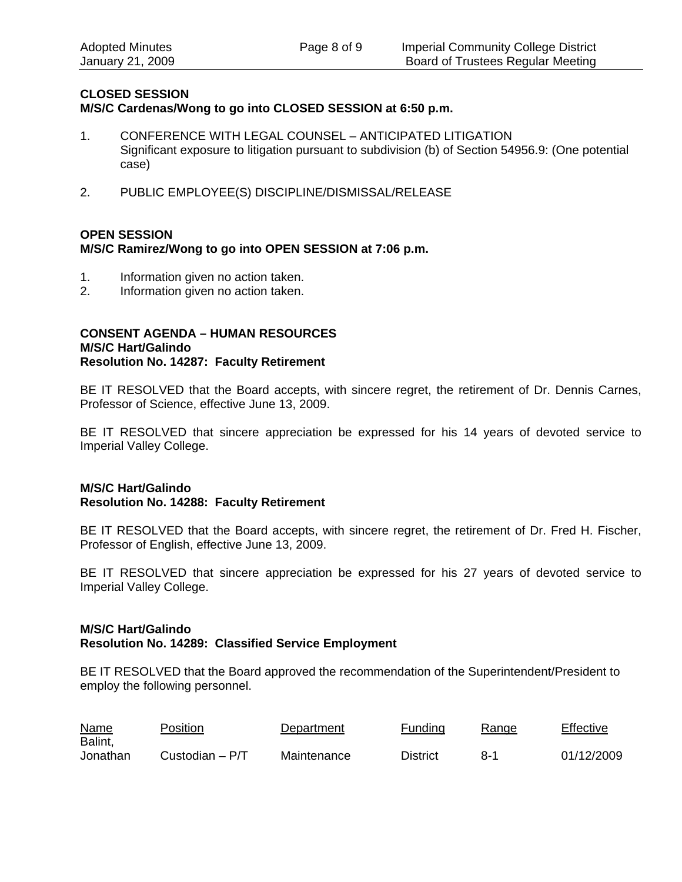#### **CLOSED SESSION**

**M/S/C Cardenas/Wong to go into CLOSED SESSION at 6:50 p.m.** 

- 1. CONFERENCE WITH LEGAL COUNSEL ANTICIPATED LITIGATION Significant exposure to litigation pursuant to subdivision (b) of Section 54956.9: (One potential case)
- 2. PUBLIC EMPLOYEE(S) DISCIPLINE/DISMISSAL/RELEASE

#### **OPEN SESSION M/S/C Ramirez/Wong to go into OPEN SESSION at 7:06 p.m.**

- 1. Information given no action taken.
- 2. Information given no action taken.

#### **CONSENT AGENDA – HUMAN RESOURCES M/S/C Hart/Galindo Resolution No. 14287: Faculty Retirement**

BE IT RESOLVED that the Board accepts, with sincere regret, the retirement of Dr. Dennis Carnes, Professor of Science, effective June 13, 2009.

BE IT RESOLVED that sincere appreciation be expressed for his 14 years of devoted service to Imperial Valley College.

#### **M/S/C Hart/Galindo Resolution No. 14288: Faculty Retirement**

BE IT RESOLVED that the Board accepts, with sincere regret, the retirement of Dr. Fred H. Fischer, Professor of English, effective June 13, 2009.

BE IT RESOLVED that sincere appreciation be expressed for his 27 years of devoted service to Imperial Valley College.

#### **M/S/C Hart/Galindo Resolution No. 14289: Classified Service Employment**

BE IT RESOLVED that the Board approved the recommendation of the Superintendent/President to employ the following personnel.

| <u>Name</u><br>Balint, | Position        | Department  | <b>Funding</b>  | Range | Effective  |
|------------------------|-----------------|-------------|-----------------|-------|------------|
| Jonathan               | Custodian – P/T | Maintenance | <b>District</b> | 8-1   | 01/12/2009 |